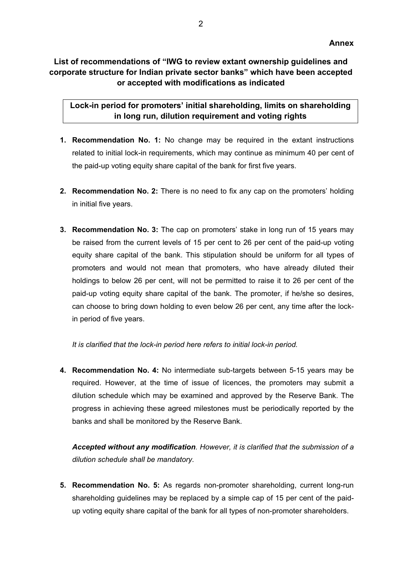## **List of recommendations of "IWG to review extant ownership guidelines and corporate structure for Indian private sector banks" which have been accepted or accepted with modifications as indicated**

**Lock-in period for promoters' initial shareholding, limits on shareholding in long run, dilution requirement and voting rights**

- **1. Recommendation No. 1:** No change may be required in the extant instructions related to initial lock-in requirements, which may continue as minimum 40 per cent of the paid-up voting equity share capital of the bank for first five years.
- **2. Recommendation No. 2:** There is no need to fix any cap on the promoters' holding in initial five years.
- **3. Recommendation No. 3:** The cap on promoters' stake in long run of 15 years may be raised from the current levels of 15 per cent to 26 per cent of the paid-up voting equity share capital of the bank. This stipulation should be uniform for all types of promoters and would not mean that promoters, who have already diluted their holdings to below 26 per cent, will not be permitted to raise it to 26 per cent of the paid-up voting equity share capital of the bank. The promoter, if he/she so desires, can choose to bring down holding to even below 26 per cent, any time after the lockin period of five years.

*It is clarified that the lock-in period here refers to initial lock-in period.* 

**4. Recommendation No. 4:** No intermediate sub-targets between 5-15 years may be required. However, at the time of issue of licences, the promoters may submit a dilution schedule which may be examined and approved by the Reserve Bank. The progress in achieving these agreed milestones must be periodically reported by the banks and shall be monitored by the Reserve Bank.

*Accepted without any modification. However, it is clarified that the submission of a dilution schedule shall be mandatory.* 

**5. Recommendation No. 5:** As regards non-promoter shareholding, current long-run shareholding guidelines may be replaced by a simple cap of 15 per cent of the paidup voting equity share capital of the bank for all types of non-promoter shareholders.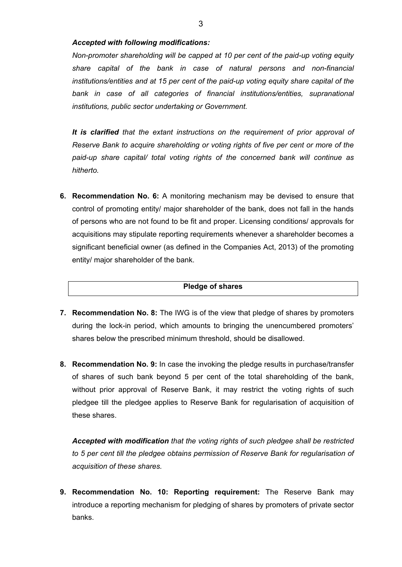### *Accepted with following modifications:*

*Non-promoter shareholding will be capped at 10 per cent of the paid-up voting equity share capital of the bank in case of natural persons and non-financial institutions/entities and at 15 per cent of the paid-up voting equity share capital of the*  bank in case of all categories of financial institutions/entities, supranational *institutions, public sector undertaking or Government.*

*It is clarified that the extant instructions on the requirement of prior approval of Reserve Bank to acquire shareholding or voting rights of five per cent or more of the paid-up share capital/ total voting rights of the concerned bank will continue as hitherto.*

**6. Recommendation No. 6:** A monitoring mechanism may be devised to ensure that control of promoting entity/ major shareholder of the bank, does not fall in the hands of persons who are not found to be fit and proper. Licensing conditions/ approvals for acquisitions may stipulate reporting requirements whenever a shareholder becomes a significant beneficial owner (as defined in the Companies Act, 2013) of the promoting entity/ major shareholder of the bank.

### **Pledge of shares**

- **7. Recommendation No. 8:** The IWG is of the view that pledge of shares by promoters during the lock-in period, which amounts to bringing the unencumbered promoters' shares below the prescribed minimum threshold, should be disallowed.
- **8. Recommendation No. 9:** In case the invoking the pledge results in purchase/transfer of shares of such bank beyond 5 per cent of the total shareholding of the bank, without prior approval of Reserve Bank, it may restrict the voting rights of such pledgee till the pledgee applies to Reserve Bank for regularisation of acquisition of these shares.

*Accepted with modification that the voting rights of such pledgee shall be restricted to 5 per cent till the pledgee obtains permission of Reserve Bank for regularisation of acquisition of these shares.* 

**9. Recommendation No. 10: Reporting requirement:** The Reserve Bank may introduce a reporting mechanism for pledging of shares by promoters of private sector banks.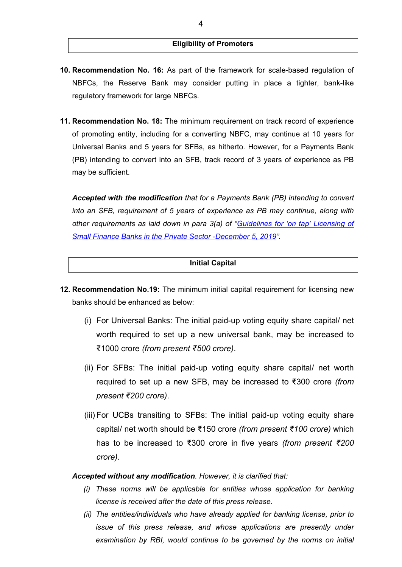### **Eligibility of Promoters**

- **10. Recommendation No. 16:** As part of the framework for scale-based regulation of NBFCs, the Reserve Bank may consider putting in place a tighter, bank-like regulatory framework for large NBFCs.
- **11. Recommendation No. 18:** The minimum requirement on track record of experience of promoting entity, including for a converting NBFC, may continue at 10 years for Universal Banks and 5 years for SFBs, as hitherto. However, for a Payments Bank (PB) intending to convert into an SFB, track record of 3 years of experience as PB may be sufficient.

*Accepted with the modification that for a Payments Bank (PB) intending to convert into an SFB, requirement of 5 years of experience as PB may continue, along with other requirements as laid down in para 3(a) of ["Guidelines for 'on tap' Licensing of](https://www.rbi.org.in/Scripts/BS_PressReleaseDisplay.aspx?prid=48807)  [Small Finance Banks in the Private Sector -December 5, 2019"](https://www.rbi.org.in/Scripts/BS_PressReleaseDisplay.aspx?prid=48807).* 

### **Initial Capital**

- **12. Recommendation No.19:** The minimum initial capital requirement for licensing new banks should be enhanced as below:
	- (i) For Universal Banks: The initial paid-up voting equity share capital/ net worth required to set up a new universal bank, may be increased to ₹1000 crore *(from present ₹500 crore)*.
	- (ii) For SFBs: The initial paid-up voting equity share capital/ net worth required to set up a new SFB, may be increased to ₹300 crore *(from present ₹200 crore)*.
	- (iii) For UCBs transiting to SFBs: The initial paid-up voting equity share capital/ net worth should be ₹150 crore *(from present ₹100 crore)* which has to be increased to ₹300 crore in five years *(from present ₹200 crore)*.

*Accepted without any modification. However, it is clarified that:*

- *(i) These norms will be applicable for entities whose application for banking license is received after the date of this press release.*
- *(ii) The entities/individuals who have already applied for banking license, prior to issue of this press release, and whose applications are presently under examination by RBI, would continue to be governed by the norms on initial*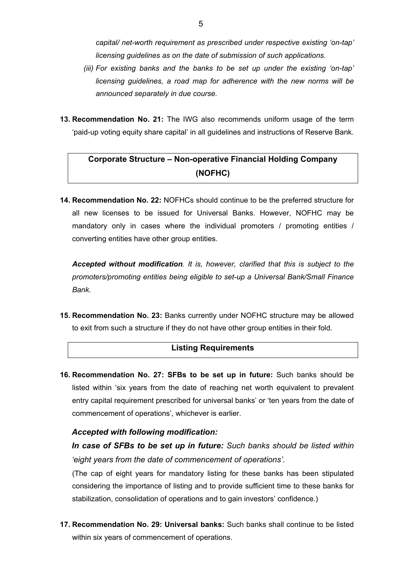*capital/ net-worth requirement as prescribed under respective existing 'on-tap' licensing guidelines as on the date of submission of such applications.* 

- *(iii) For existing banks and the banks to be set up under the existing 'on-tap' licensing guidelines, a road map for adherence with the new norms will be announced separately in due course.*
- **13. Recommendation No. 21:** The IWG also recommends uniform usage of the term 'paid-up voting equity share capital' in all guidelines and instructions of Reserve Bank.

# **Corporate Structure – Non-operative Financial Holding Company (NOFHC)**

**14. Recommendation No. 22:** NOFHCs should continue to be the preferred structure for all new licenses to be issued for Universal Banks. However, NOFHC may be mandatory only in cases where the individual promoters / promoting entities / converting entities have other group entities.

*Accepted without modification. It is, however, clarified that this is subject to the promoters/promoting entities being eligible to set-up a Universal Bank/Small Finance Bank.*

**15. Recommendation No. 23:** Banks currently under NOFHC structure may be allowed to exit from such a structure if they do not have other group entities in their fold.

## **Listing Requirements**

**16. Recommendation No. 27: SFBs to be set up in future:** Such banks should be listed within 'six years from the date of reaching net worth equivalent to prevalent entry capital requirement prescribed for universal banks' or 'ten years from the date of commencement of operations', whichever is earlier.

### *Accepted with following modification:*

*In case of SFBs to be set up in future: Such banks should be listed within 'eight years from the date of commencement of operations'.*

(The cap of eight years for mandatory listing for these banks has been stipulated considering the importance of listing and to provide sufficient time to these banks for stabilization, consolidation of operations and to gain investors' confidence.)

**17. Recommendation No. 29: Universal banks:** Such banks shall continue to be listed within six years of commencement of operations.